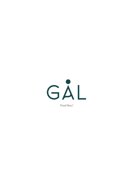

"Food Menu"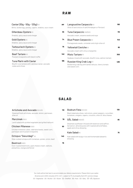## **RAW**

| Caviar (30g - 50g - 125g) (6)<br>Blinis, boiled egg, parsley, capers, shallots, sour cream               | <b>MP</b> | Langoustine Carpaccio(S)<br>Olive oil and choice of salt (Himalayan or Persian)                        | 180 |
|----------------------------------------------------------------------------------------------------------|-----------|--------------------------------------------------------------------------------------------------------|-----|
| Gillardeau Oysters (S)                                                                                   | 55        | Tuna Carpaccio (N)(Å)(G)                                                                               | 115 |
| Shallots, spicy sauce and vinegar                                                                        |           | Avocado cream, sesame seeds and soya                                                                   |     |
| Gold Oysters (S)                                                                                         | 74        | <b>Blue Prawn Carpaccio (S)</b>                                                                        | 140 |
| Shallots, spicy sauce and vinegar                                                                        |           | Pomagranate seeds, coriander and virgin olive oil                                                      |     |
| Tarbouriech Oysters (S)                                                                                  | 75        | Yellowtail Ceviche(6)                                                                                  | 95  |
| Shallots, spicy sauce and vinegar                                                                        |           | Avocado cream with citrus vinaigrette                                                                  |     |
| <b>Beef Tartare (G)</b>                                                                                  | 140       | <b>Misto Tartare (G)</b>                                                                               | 300 |
| Mustard vinaigrette with black truffle                                                                   |           | Seabass mixed with avocado, bluefin tuna, salmon tartare                                               |     |
| <b>Tuna Marin with Caviar</b><br>Bluefin tuna tartare with calvisius caviar, avocado<br>cubes and chives | 195       | Russian King Crab Leg(S)<br>Boiled king crab leg with lamb's lettuce, cherry tomato<br>and sweet corn. | 485 |

## **SALAD**

| Artichoke and Avocado (D)(V)(Å)<br>Steamed fresh artichoke, avocado, lemon, parmesan,<br>olive oil                          | 110 | Bodrum Feta (G)(V)(D)<br>Black kalamata olives, red onions, green peppers, cucumber,<br>tomatoes, oregano, capers, croutons, olive oil, feta cheese | 130 |
|-----------------------------------------------------------------------------------------------------------------------------|-----|-----------------------------------------------------------------------------------------------------------------------------------------------------|-----|
| Mercimek (D)(V)<br>Lentil salad with pickled vegetable and grilled halloumi                                                 | 78  | <b>GÅL Salad</b> (N)(D)(Å)<br>Steamed cauliflower infused with beetroot and saffron.                                                                | 85  |
| <b>Chicken Milanese (G)(D)</b><br>Chicken milanese cubes, valeriana leaves, sweet corn,<br>parmesan and mustard vinaigrette | 90  | Served on almond puree with roasted almond flakes,<br>apple and citrus dressing<br>Kale Salad(N)                                                    | 75  |
| Octopus "Gavurdagi" (S)<br>Slow cooked octopus with tomatoes, potato, onion, basil                                          | 140 | Kale salad with bulgur rice and homemade balsamic<br>dressing                                                                                       |     |
| Beetroot(N)(D)<br>Oven roasted beetroots, goat cheese cream, walnuts,<br>pistachios, orange and fennel                      | 76  |                                                                                                                                                     |     |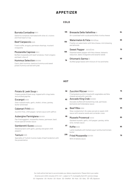## **APPETIZER**

### **COLD**

| <b>Burrata Contadina</b> (D)(V)                                                | 135 | Bresaola Della Valtellina (D)                                                            | 94 |
|--------------------------------------------------------------------------------|-----|------------------------------------------------------------------------------------------|----|
| Datterino tomatoes marinated with olive oil, crutons<br>and fresh basil on top |     | Air-cured beef with rucola and buffalo ricotta cheese                                    |    |
| <b>Beef Carpaccio (D)(Å)</b>                                                   | 130 | Watermelon & Feta (D)(V)(Å)(N)<br>Freshly cut watermelon with feta cheese, mint dressing | 65 |
| Fresh truffle, arugula, parmesan shavings, mustard<br>vinaigrette              |     | and almonds<br><b>Sweet Pepper</b> (D)(V)(Å)(N)                                          | 70 |
| Mozzarella Caprese(D)(V)                                                       | 105 | Steamed sweet pepper with feta cheese, balsamic                                          |    |
| Buffalo mozzarella with beef tomatoes, fresh oregano<br>and basil, olive oil   |     | reduction, dates vinaigrette and sesame seeds                                            | 68 |
| Hummus Selection (D)(V)(N)                                                     | 78  | Ottoman's Sarma (Å)                                                                      |    |
|                                                                                |     | Stuffed grape leaves with mixture of rice and herbs                                      |    |

### **HOT**

### Potato & Leek Soup<sup>(D)</sup> 58

potato hummus served with pide

Creamy potato & leek soup, topped with crispy leeks and smoked paprika

Cacık, plain hummus, beetroot hummus and sweet

### Escargot (S)(D) 82

Oven roasted snails, garlic, shallot, chives, parsley, butter and bread

### Calamari Fritti (S)(G) **80**

Zucchini fries, chilli pepper, tartare sauce with saffron

#### Aubergine Parmigiana (G)(V)(D) **86**

Pan fried eggplant, mozzarella cheese, parmesan, basil, house special tomato sauce

### Gamberetti Guvec (S)(Å)(D)(G) **87**

Stewed prawns with garlic, parsley and green chilli peppers

### Tantuni **<sup>235</sup>** (G) (Å)

Speciality of Turkish Cuisine made of beef tenderloin with live presentation

# (D) **58 Zucchini Mücver** (D)(G)(V) **75**

| $\mathbf{2}$ | Fried grated zucchini mixed with vegetables and feta<br>cheese served with cacik dip<br>Avocado King Crab (S)(D)(G)<br>Avocado stuffed with boiled king crab, parmesan, | 128 |
|--------------|-------------------------------------------------------------------------------------------------------------------------------------------------------------------------|-----|
|              | béchamel and hollandaise sauce                                                                                                                                          |     |
| 0            | Beef Ribs (G)(N)<br>Slow-cooked short rib cubes served on sweet chilli<br>sauce with sesame seeds and coriander cress                                                   | 85  |
| 6            | Mussels Provencal (A)(S)<br>Sautéed mussels, garlic, chili pepper, parsley, white                                                                                       | 85  |
| 7            | wine, tomato sauce<br>$K$ ofte $(G)(D)$                                                                                                                                 | 95  |
| 5            | Lamb meatballs with herbed yogurt and burned tomato<br>butter                                                                                                           |     |
|              | Fried Mozzarella (G)(V)(D)                                                                                                                                              | 78  |
|              | With Arrabiata sauce                                                                                                                                                    |     |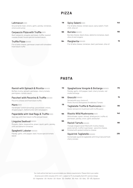## **PIZZA**

### Lahmacun (G)(D) **118**

Ground lamb meat, onions, garlic, parsley, tomatoes, onions and sumac

### Carpaccio Pizza with Truffle (G)(D) **185**

Beef carpaccio, arugula, parmesan, truffle, toasted carasau bread, house special mustard sauce

### **Truffle Pizza** (G)(V)(D)

Fior di latte cheese, parmesan cream with shredded fresh black truffle

| (D)                                                             | 118 | Spicy Salami(G)(D)                                                                | 140 |
|-----------------------------------------------------------------|-----|-----------------------------------------------------------------------------------|-----|
| t, onions, garlic, parsley, tomatoes,                           |     | Fior di latte cheese, tomato sauce, spicy salami, fresh<br>chilli, olive oil      |     |
| <b>zza with Truffle</b> (G)(D)                                  | 185 | Burrata(G)(V)(D)                                                                  | 155 |
| rugula, parmesan, truffle, toasted<br>use special mustard sauce |     | Burrata cheese, black olives, datterino tomatoes, basil,<br>olive oil and oregano |     |
| (G)(V)(D)                                                       | 164 | Margherita(G)(V)(D)                                                               | 78  |
| e, parmesan cream with shredded                                 |     | Fior di latte cheese, tomatoes, basil, parmesan, olive oil                        |     |

## **PASTA**

| Ravioli with Spinach & Ricotta (G)(V)(D)<br>Buffalo ricotta, spinach, parmesan, cherry tomato,<br>parmigiano, tomato sauce | 110       | Spaghettone Vongole & Bottarga (G)(D)(S)<br>Parsley, garlic, chili pepper, basil, cherry tomato, red<br>mullet bottarga                              | 175 |
|----------------------------------------------------------------------------------------------------------------------------|-----------|------------------------------------------------------------------------------------------------------------------------------------------------------|-----|
| Paccheri with Pecorino & Truffle (G)(V)(D)<br>Pecorino cheese and fresh black truffle                                      | 135       | Gnocchi(G)(N)(D)<br>Served with your choice of:<br>Pesto   Aurora   Bolognese   Arrabbiata   Tomato                                                  | 75  |
| Manti(G)(D)<br>Handmade Turkish dumplings, ground beef, onions,<br>dripped yogurt, melted butter with red peppers          | 115       | Tagliatelle Truffle & Mushrooms (G)(V)<br>Oyster and porcini mushroom with truffle pesto                                                             | 135 |
| Papardelle with Veal Ragu & Truffle (G)(D)<br>Veal ragu with fresh black truffle and parmesan                              | 155       | Risotto Wild Mushrooms (A)(D)<br>Wild shiitake, oyster, shimeji, dried porcini, truffle oil,<br>parmesan, parsley, onion, garlic and butter          | 140 |
| Linguine Seafood(G)(D)(S)<br>Mussels, clams, langoustine, prawn, squid, garlic, parsley,<br>chilli and datterini tomatoes  | 185       | Ravioli Tartufo (G)(V)(D)<br>Triangle shaped ravioli filled with ricotta cheese,<br>pesto tartufo, truffle in parmesan - pecorino cheese,            | 165 |
| Spaghetti Lobster (G)(S)(A)<br>Parsley, garlic, chili pepper, basil, house special tomato<br>sauce                         | <b>MP</b> | finished with grated moliterno cheese<br>Squid Ink Tagliatelle (G)(S)(D)<br>Homemade squid ink tagliatelle with King Crab and fresh<br>cherry tomato | 235 |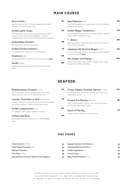## **MAIN COURSE**

| <b>Duck Confit (G)</b><br>Duck leg roasted with citrus and vegetables, served<br>with firik rice and orange slices                                                                            | 164        | <b>Veal Milanese</b> (G)(D)<br>Pan-fried breaded veal chop, arugula, cherry tomatoes,<br>parmesan and lemon                 | 338  |
|-----------------------------------------------------------------------------------------------------------------------------------------------------------------------------------------------|------------|-----------------------------------------------------------------------------------------------------------------------------|------|
| <b>Grilled Lamb Chops</b><br>Marinated with sweet onion, pepper paste and cherry<br>vinegar, served with roasted eggplant, aromatic<br>mediterranean olive oil and semi dried cherry tomatoes | 235        | Grilled Wagyu Tenderloin (D)<br>Charcoal grilled beef tenderloin wagyu grade 7, hand cut<br>potato chips, hollandaise sauce | 459  |
| Grilled Baby Chicken (Å)<br>Marinated with mustard and lemon                                                                                                                                  | 198        | $T - Bone(0)$<br>Charcoal grilled T-bone, rosemary, sage, garlic served<br>with grilled vegetables                          | 880  |
| Grilled Chicken Paillard (D)<br>Pounded chicken breast with mustard sauce<br>Ossobuco (G)(D)                                                                                                  | 175<br>295 | Japanese A5 Saroma Wagyu(N)(G)(Å)<br>Thinly sliced wagyu striploin with sautéed bok choy and<br>sesame soy sauce (250g)     | 750  |
| Braised veal shank, orzo pilaf, demi-glace sauce (450g)                                                                                                                                       | 295        | Mix Josper Grill Platter (G)<br>Saslik, lamb chops, baby chicken, wagyu sirloin, angus                                      | 1500 |
| Saslik (G)(D)(Å)<br>Traditionally marinated grilled beef fillet with onion<br>rings                                                                                                           |            | rib eye with grilled vegetables                                                                                             |      |

## **SEAFOOD**

| Mediterranean Octopus (S)(D)(Å)<br>Pan fried octopus with creamy potato, semi dried<br>cherry tomato, onion confit and aromatic oil                    | 210 | Crispy Organic Scottish Salmon (G)(N)(D)<br>Pan fried salmon, served on mashed green peas with<br>hollandaise sauce         | 245       |
|--------------------------------------------------------------------------------------------------------------------------------------------------------|-----|-----------------------------------------------------------------------------------------------------------------------------|-----------|
| Lobster Thermidor or Grill(S)(D)(N)(G)(A)<br>Lobster roasted in a wood-fire oven with shallots, butter,<br>parmesan, mustard, cream and béchamel sauce | МP  | Prawns Fra Diavola (S)(D)(G)(A)<br>Oven cooked prawns in garlic, chili, butter and lemon,<br>served with a parmesan risotto | 185       |
| Grilled Langoustines (S)(D)<br>Chili pepper, garlic, butter and lemon sauce                                                                            | 330 | Catch of the Day<br>Please ask your waiter for daily selection                                                              | <b>MP</b> |
| <b>Chilean Sea Bass</b><br>Slow cooked Chilean Sea Bass with mediterranean<br>sauce                                                                    | 335 |                                                                                                                             |           |

### **SIDE DISHES**

| <b>Fried Zucchini</b> $(G)(V)(D)$               | 34 | Sautéed Spinach with Garlic (V)   | 34 |
|-------------------------------------------------|----|-----------------------------------|----|
| <b>Fried Sweet Potatoes (D)(V)</b>              | 30 | Sautéed Wild Mushrooms (V)        | 56 |
| Mashed Potatoes (V)                             | 35 | <b>Grilled Vegetables (V)</b>     | 44 |
| $First$ Rice $(V)(G)(D)$                        | 35 | French Fries $(V)$                | 30 |
| Sautéed Broccoli with Garlic & Chili Pepper (V) | 34 | <b>Baby Fried Potatoes (V)(D)</b> | 34 |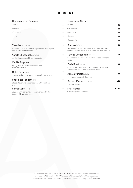## **DESSERT**

| Homemade Ice Cream (D)                                                                                       |    | <b>Homemade Sorbet</b>                                                                                                               |         |
|--------------------------------------------------------------------------------------------------------------|----|--------------------------------------------------------------------------------------------------------------------------------------|---------|
| $\cdot$ Vanilla                                                                                              | 96 | · Mango                                                                                                                              | 19      |
| · Pistachio                                                                                                  | 96 | · Strawberry                                                                                                                         | 19      |
| • Chocolate                                                                                                  | 86 | • Raspberry                                                                                                                          | 19      |
| · Hazelnut                                                                                                   | 86 | $\cdot$ Lemon                                                                                                                        | 19      |
|                                                                                                              |    | • Passion Fruit                                                                                                                      | 19      |
| Tiramisu(D)(A)(N)(G)<br>Savoiardi infused with coffee, layered with mascarpone<br>cream, flavored with cacao | 78 | Churros (G)(D)(N)<br>Traditional Spanish fried dough pastry (plain and with<br>cinnamon) served with caramel sauce and nutella sauce | 58      |
| Vanilla Cheesecake (G)(D)(N)<br>Vanilla cheesecake with plum compote                                         | 68 | <b>Nutella Cheesecake(G)(D)(N)</b><br>Cheesecake with chocolate hazelnut spread, raspberry<br>sorbet                                 | 68      |
| Vanilla Surprise (G)(D)<br>Sponge cake with vanilla meringue and<br>fresh strawberries                       | 95 | Paris Brest (G)(D)(N)<br>Choux pastery filled with hazelnut cream. Served with<br>pistachio ice cream and caramelized pecan          | 95      |
| Mille Feuille (G)(D)<br>Layered puff pastery, pastery cream with forest fruits                               | 65 | Apple Crumble (G)(D)(N)<br>Frangipane with vanilla ice cream                                                                         | 66      |
| Chocolate Fondant (G)(D)<br>Chocolate caramel fondant served with vanilla ice<br>cream                       | 68 | <b>Dessert Platter (G)(D)(N)(A)</b><br>Assorted desserts                                                                             | 450     |
| Carrot Cake (G)(D)(N)<br>Layered with orange flavred cream cheese, frosting<br>topped with walnut crubmle    | 65 | <b>Fruit Platter</b><br>Selection of seasonal fruits                                                                                 | 76 / 96 |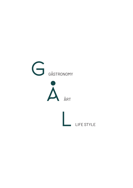